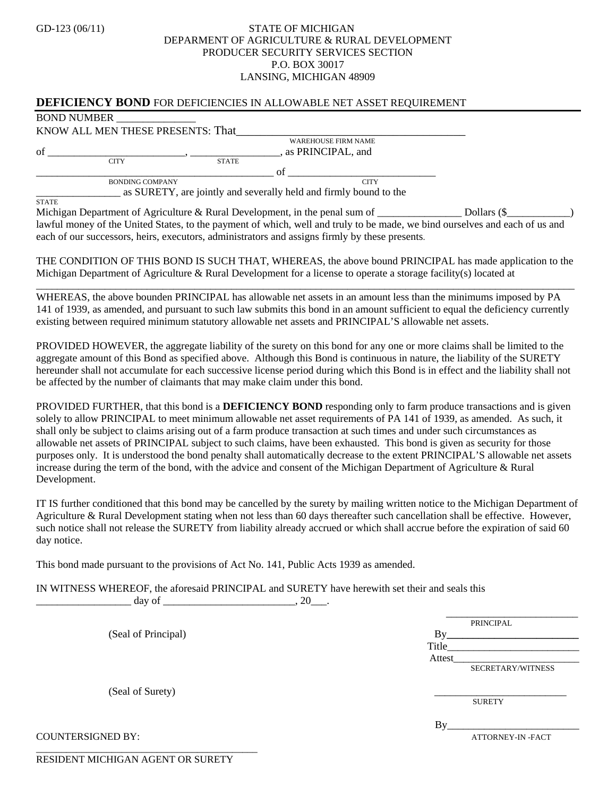## GD-123 (06/11) STATE OF MICHIGAN DEPARMENT OF AGRICULTURE & RURAL DEVELOPMENT PRODUCER SECURITY SERVICES SECTION P.O. BOX 30017 LANSING, MICHIGAN 48909

## **DEFICIENCY BOND** FOR DEFICIENCIES IN ALLOWABLE NET ASSET REQUIREMENT

|--|

**STATE** 

KNOW ALL MEN THESE PRESENTS: That\_\_\_\_\_\_\_\_\_\_\_\_\_\_\_\_\_\_\_\_\_\_\_\_\_\_\_\_\_\_\_\_\_\_\_\_\_\_ WAREHOUSE FIRM NAME of  $\overline{\phantom{a}}$  of  $\overline{\phantom{a}}$  or  $\overline{\phantom{a}}$ ,  $\overline{\phantom{a}}$  as PRINCIPAL, and CITY STATE \_\_\_\_\_\_\_\_\_\_\_\_\_\_\_\_\_\_\_\_\_\_\_\_\_\_\_\_\_\_\_\_\_\_\_\_\_\_\_\_\_\_\_\_\_ of \_\_\_\_\_\_\_\_\_\_\_\_\_\_\_\_\_\_\_\_\_\_\_\_\_\_\_\_ BONDING COMPANY CITY

\_\_\_\_\_\_\_\_\_\_\_\_\_\_\_\_ as SURETY, are jointly and severally held and firmly bound to the

Michigan Department of Agriculture & Rural Development, in the penal sum of \_\_\_\_\_\_\_\_\_\_\_\_\_\_\_\_\_\_ Dollars (\$\_\_\_\_ lawful money of the United States, to the payment of which, well and truly to be made, we bind ourselves and each of us and each of our successors, heirs, executors, administrators and assigns firmly by these presents.

THE CONDITION OF THIS BOND IS SUCH THAT, WHEREAS, the above bound PRINCIPAL has made application to the Michigan Department of Agriculture & Rural Development for a license to operate a storage facility(s) located at

\_\_\_\_\_\_\_\_\_\_\_\_\_\_\_\_\_\_\_\_\_\_\_\_\_\_\_\_\_\_\_\_\_\_\_\_\_\_\_\_\_\_\_\_\_\_\_\_\_\_\_\_\_\_\_\_\_\_\_\_\_\_\_\_\_\_\_\_\_\_\_\_\_\_\_\_\_\_\_\_\_\_\_\_\_\_\_\_\_\_\_\_\_\_\_\_\_\_\_\_\_\_ WHEREAS, the above bounden PRINCIPAL has allowable net assets in an amount less than the minimums imposed by PA 141 of 1939, as amended, and pursuant to such law submits this bond in an amount sufficient to equal the deficiency currently existing between required minimum statutory allowable net assets and PRINCIPAL'S allowable net assets.

PROVIDED HOWEVER, the aggregate liability of the surety on this bond for any one or more claims shall be limited to the aggregate amount of this Bond as specified above. Although this Bond is continuous in nature, the liability of the SURETY hereunder shall not accumulate for each successive license period during which this Bond is in effect and the liability shall not be affected by the number of claimants that may make claim under this bond.

PROVIDED FURTHER, that this bond is a **DEFICIENCY BOND** responding only to farm produce transactions and is given solely to allow PRINCIPAL to meet minimum allowable net asset requirements of PA 141 of 1939, as amended. As such, it shall only be subject to claims arising out of a farm produce transaction at such times and under such circumstances as allowable net assets of PRINCIPAL subject to such claims, have been exhausted. This bond is given as security for those purposes only. It is understood the bond penalty shall automatically decrease to the extent PRINCIPAL'S allowable net assets increase during the term of the bond, with the advice and consent of the Michigan Department of Agriculture & Rural Development.

IT IS further conditioned that this bond may be cancelled by the surety by mailing written notice to the Michigan Department of Agriculture & Rural Development stating when not less than 60 days thereafter such cancellation shall be effective. However, such notice shall not release the SURETY from liability already accrued or which shall accrue before the expiration of said 60 day notice.

This bond made pursuant to the provisions of Act No. 141, Public Acts 1939 as amended.

IN WITNESS WHEREOF, the aforesaid PRINCIPAL and SURETY have herewith set their and seals this

| 20<br>day of                      |                   |
|-----------------------------------|-------------------|
|                                   | PRINCIPAL         |
| (Seal of Principal)               | Bv                |
|                                   | Title             |
|                                   | Attest            |
|                                   | SECRETARY/WITNESS |
|                                   |                   |
| (Seal of Surety)                  | <b>SURETY</b>     |
|                                   |                   |
|                                   | By                |
| <b>COUNTERSIGNED BY:</b>          | ATTORNEY-IN-FACT  |
|                                   |                   |
| RESIDENT MICHIGAN AGENT OR SURETY |                   |